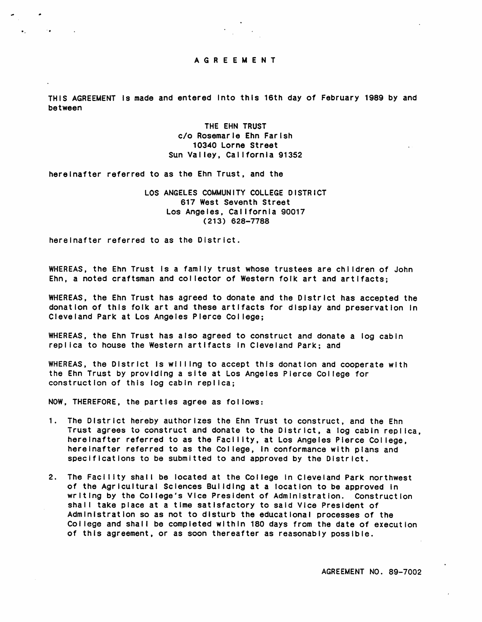

THIS AGREEMENT is made and entered into this 16th day of February 1989 by and between

> THE EHN TRUST c/o Rosemarie Ehn Farish 10340 Lorne Street Sun Valley, California 91352

hereinafter referred to as the Ehn Trust, and the

LOS ANGELES COMMUNITY COLLEGE DISTRICT 617 West Seventh Street Los Angeles, California 90017  $(213)$  628-7788

here inafter referred to as the District.

 $\sim 100$ 

WHEREAS, the Ehn Trust is a family trust whose trustees are children of John Ehn, a noted craftsman and collector of Western folk art and artifacts;

WHEREAS, the Ehn Trust has agreed to donate and the District has accepted the donation of this folk art and these artifacts for display and preservation in Cleveland Park at Los Angeles Plerce College;

WHEREAS, the Ehn Trust has also agreed to construct and donate a log cabin replica to house the Western artifacts in Cleveland Park; and

WHEREAS, the District is willing to accept this donation and cooperate with the Ehn Trust by providing a site at Los Angeles Pierce College for construction of this log cabin replica;

NOW, THEREFORE, the partles agree as follows:

- 1. The District hereby authorizes the Ehn Trust to construct, and the Ehn Trust agrees to construct and donate to the District, a log cabin replica, here Inafter referred to as the Facility, at Los Angeles Pierce College, hereinafter referred to as the College, in conformance with plans and specifications to be submitted to and approved by the District.
- 2. The Facility shall be located at the College in Cleveland Park northwest of the Agricultural Sciences Building at a location to be approved in writing by the College's Vice President of Administration. Construction shall take place at a time satisfactory to said Vice President of Adm inistration so as not to disturb the educational processes of the College and shall be completed within 180 days from the date of execution of this agreement, or as soon thereafter as reasonably possible.

AGREEMENT NO. 89-7002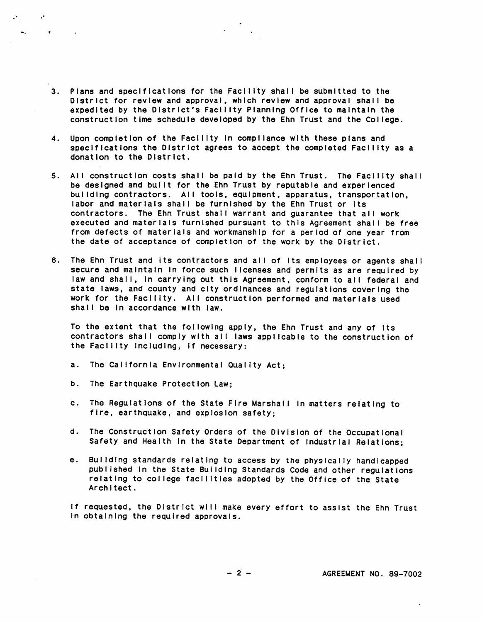- 3. Plans and specifications for the Facility shall be submitted to the D is trict for review and approval, which review and approval shall be expedited by the District's Facility Planning Office to maintain the construction time schedule developed by the Ehn Trust and the College.
- 4. Upon completion of the Facility in compliance with these plans and specifications the District agrees to accept the completed Facility as a donation to the District.
- 5. All construction costs shall be paid by the Ehn Trust. The Facility shall be designed and built for the Ehn Trust by reputable and experienced building contractors. All tools, equipment, apparatus, transportation, labor and materials shall be furnished by the Ehn Trust or its contractors. The Ehn Trust shall warrant and guarantee that all work executed and materials furnished pursuant to this Agreement shall be free from defects of materials and workmanship for a period of one year from the date of acceptance of completion of the work by the District.
- 6. The Ehn Trust and its contractors and all of its employees or agents shall secure and maintain in force such licenses and permits as are required by law and shall, in carrying out this Agreement, conform to all federal and state laws, and county and city ordinances and regulations covering the work for the Facility. All construction performed and materials used shall be in accordance with law.

To the extent that the following apply, the Ehn Trust and any of its contractors shall comply with all laws applicable to the construction of the Facility including, if necessary:

- a. The California Environmental Quality Act;
- b. The Earthquake Protection Law:

 $\mathcal{F}_\text{in}$  and  $\mathcal{F}_\text{out}$  $\omega_{\rm{eff}}=0.1$ 

 $\sim$  100  $\sim$ 

- c. The Regulations of the State Fire Marshall in matters relating to fire, earthquake, and explosion safety;
- d. The Construction Safety Orders of the Division of the Occupational Safety and Health in the State Department of Industrial Relations;
- e. Building standards relating to access by the physically handicapped published In the State Building Standards Code and other regulations relating to college facilities adopted by the Office of the State Architect.

If requested, the District will make every effort to assist the Ehn Trust in obtaining the required approvals.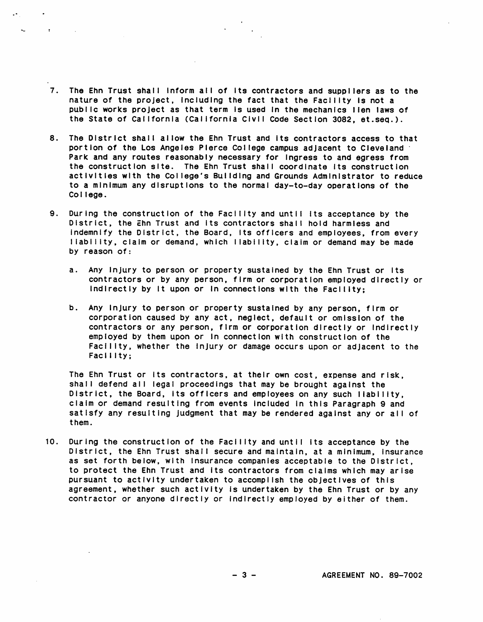7. The Ehn Trust shall inform all of its contractors and suppliers as to the nature of the project, including the fact that the Facility is not a public works project as that term is used in the mechanics lien laws of the State of Callfornia (California Civil Code Section 3082, et.seq.).

 $\sim 10^{-10}$ 

- 8. The District shall allow the Ehn Trust and its contractors access to that portion of the Los Angeles Pierce College campus adjacent to Cleveland Park and any routes reasonably necessary for ingress to and egress from the construction site. The Ehn Trust shall coordinate its construction activities with the College's Building and Grounds Administrator to reduce to a m inimum any disruptions to the normal day-to-day operations of the College.
- 9. During the construction of the Facility and until its acceptance by the District, the Ehn Trust and its contractors shall hold harmless and indemnify the District, the Board, its officers and employees, from every liabliity, ciaim or demand, which liability, claim or demand may be made by reason of:
	- a. Any injury to person or property sustained by the Ehn Trust or Its contractors or by any person, firm or corporation employed directly or indirectly by it upon or in connections with the Facility;
	- b. Any Injury to person or property sustained by any person, firm or corporation caused by any act, neglect, default or omission of the contractors or any person, firm or corporation directly or indirectly employed by them upon or in connection with construction of the Facility, whether the injury or damage occurs upon or adjacent to the Facility:

The Ehn Trust or its contractors, at their own cost, expense and risk, shall defend all legal proceedings that may be brought against the District, the Board, its officers and employees on any such liability. claim or demand resulting from events Included in this Paragraph 9 and satisfy any resulting Judgment that may be rendered against any or all of them.

10. During the construction of the Facility and until its acceptance by the D istrict, the Ehn Trust shall secure and maintain, at a minimum, insurance as set forth below, with insurance companies acceptable to the District, to protect the Ehn Trust and its contractors from claims which may arise pur suant to activity undertaken to accomplish the objectives of this agreement, whether such activity is undertaken by the Ehn Trust or by any contractor or anyone directly or indirectly employed by either of them.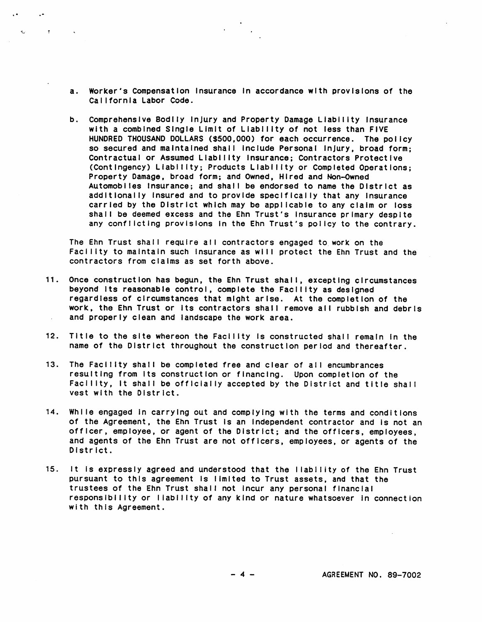a. Worker's Compensation insurance in accordance with provisions of the Callfornia Labor Code.

 $\mathbf{Q}^{\text{max}}$ 

 $\sim 200$  km s  $^{-1}$ 

b. Comprehensive Bodlly injury and Property Damage Liability Insurance with a combined Single Limit of Liability of not less than FIVE HUNDRED THOUSAND DOLLARS (\$500,000) for each occurrence. The policy so secured and maintained shall include Personal injury, broad form; Contractual or Assumed Liability Insurance; Contractors Protective ( Cont ingency ) Liability; Products Liability or Completed Operations; Property Damage, broad form; and Owned, Hired and Non-Owned Automobiles Insurance; and shall be endorsed to name the District as add it ionally insured and to provide specifically that any insurance carried by the District which may be applicable to any claim or loss shall be deemed excess and the Ehn Trust's insurance primary despite any conflicting provisions in the Ehn Trust's policy to the contrary.

The Ehn Trust shall require all contractors engaged to work on the Facility to maintain such insurance as will protect the Ehn Trust and the contractors from claims as set forth above.

- 11. Once construction has begun, the Ehn Trust shall, excepting circumstances beyond its reasonable control, complete the Facility as designed regardiess of circumstances that might arise. At the completion of the work, the Ehn Trust or its contractors shall remove all rubbish and debris and properly clean and landscape the work area.
- 12. Title to the site whereon the Facility is constructed shall remain in the name of the District throughout the construction period and thereafter.
- 13. The Facility shall be completed free and clear of all encumbrances resulting from its construction or financing. Upon completion of the Facility, it shall be officially accepted by the District and title shall vest with the District.
- 14. While engaged in carrying out and complying with the terms and conditions of the Agreement, the Ehn Trust is an independent contractor and is not an officer, employee, or agent of the District; and the officers, employees, and agents of the Ehn Trust are not officers, employees, or agents of the District.
- 15. It is expressly agreed and understood that the liability of the Ehn Trust pur suant to this agreement is limited to Trust assets, and that the trustees of the Ehn Trust shall not incur any personal financial responsibility or liability of any kind or nature whatsoever in connection with this Agreement.